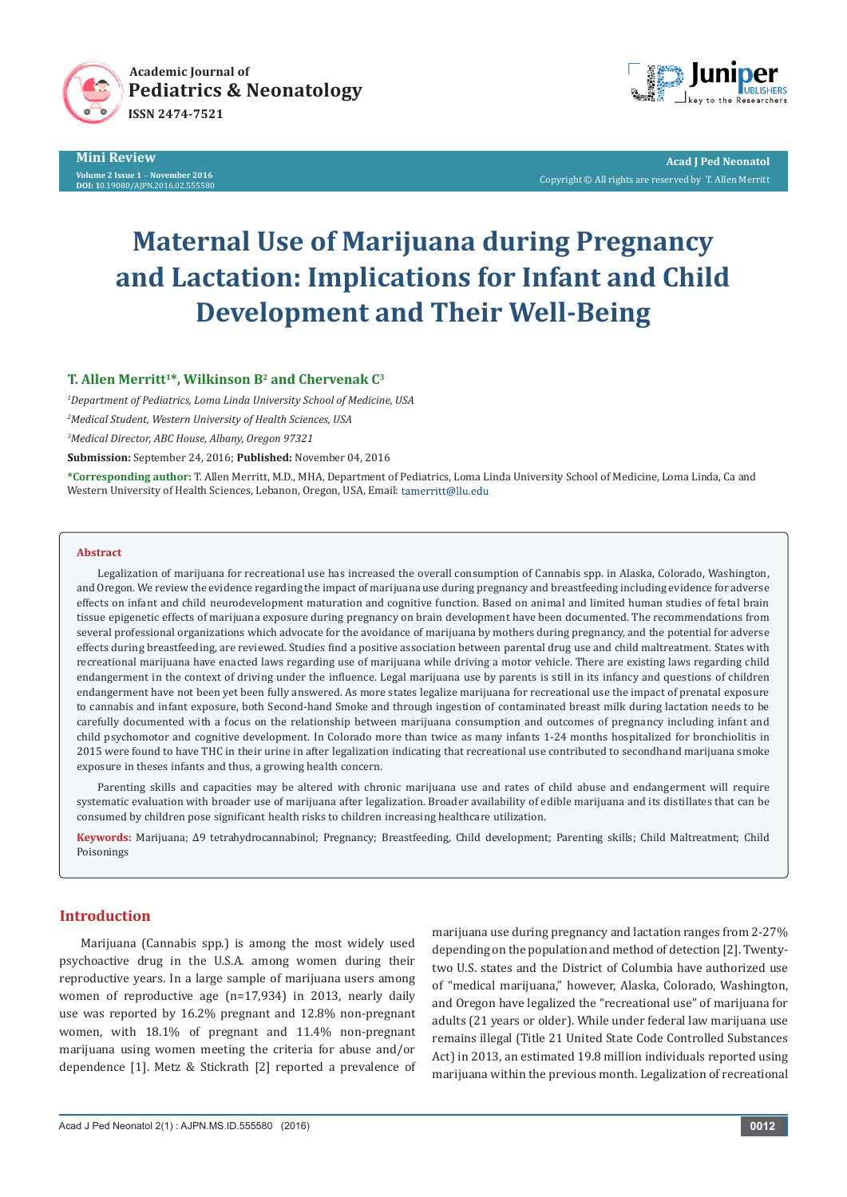



**Acad J Ped Neonatol** Copyright © All rights are reserved by T. Allen Merritt

# **Maternal Use of Marijuana during Pregnancy and Lactation: Implications for Infant and Child Development and Their Well-Being**

## T. Allen Merritt<sup>1\*</sup>, Wilkinson B<sup>2</sup> and Chervenak C<sup>3</sup>

*1 Department of Pediatrics, Loma Linda University School of Medicine, USA 2 Medical Student, Western University of Health Sciences, USA 3 Medical Director, ABC House, Albany, Oregon 97321*

**Submission:** September 24, 2016; **Published:** November 04, 2016

**\*Corresponding author:** T. Allen Merritt, M.D., MHA, Department of Pediatrics, Loma Linda University School of Medicine, Loma Linda, Ca and Western University of Health Sciences, Lebanon, Oregon, USA, Email: tamerritt@llu.edu

#### **Abstract**

Legalization of marijuana for recreational use has increased the overall consumption of Cannabis spp. in Alaska, Colorado, Washington, and Oregon. We review the evidence regarding the impact of marijuana use during pregnancy and breastfeeding including evidence for adverse effects on infant and child neurodevelopment maturation and cognitive function. Based on animal and limited human studies of fetal brain tissue epigenetic effects of marijuana exposure during pregnancy on brain development have been documented. The recommendations from several professional organizations which advocate for the avoidance of marijuana by mothers during pregnancy, and the potential for adverse effects during breastfeeding, are reviewed. Studies find a positive association between parental drug use and child maltreatment. States with recreational marijuana have enacted laws regarding use of marijuana while driving a motor vehicle. There are existing laws regarding child endangerment in the context of driving under the influence. Legal marijuana use by parents is still in its infancy and questions of children endangerment have not been yet been fully answered. As more states legalize marijuana for recreational use the impact of prenatal exposure to cannabis and infant exposure, both Second-hand Smoke and through ingestion of contaminated breast milk during lactation needs to be carefully documented with a focus on the relationship between marijuana consumption and outcomes of pregnancy including infant and child psychomotor and cognitive development. In Colorado more than twice as many infants 1-24 months hospitalized for bronchiolitis in 2015 were found to have THC in their urine in after legalization indicating that recreational use contributed to secondhand marijuana smoke exposure in theses infants and thus, a growing health concern.

Parenting skills and capacities may be altered with chronic marijuana use and rates of child abuse and endangerment will require systematic evaluation with broader use of marijuana after legalization. Broader availability of edible marijuana and its distillates that can be consumed by children pose significant health risks to children increasing healthcare utilization.

**Keywords:** Marijuana; Δ9 tetrahydrocannabinol; Pregnancy; Breastfeeding, Child development; Parenting skills; Child Maltreatment; Child Poisonings

## **Introduction**

Marijuana (Cannabis spp.) is among the most widely used psychoactive drug in the U.S.A. among women during their reproductive years. In a large sample of marijuana users among women of reproductive age (n=17,934) in 2013, nearly daily use was reported by 16.2% pregnant and 12.8% non-pregnant women, with 18.1% of pregnant and 11.4% non-pregnant marijuana using women meeting the criteria for abuse and/or dependence [1]. Metz & Stickrath [2] reported a prevalence of marijuana use during pregnancy and lactation ranges from 2-27% depending on the population and method of detection [2]. Twentytwo U.S. states and the District of Columbia have authorized use of "medical marijuana," however, Alaska, Colorado, Washington, and Oregon have legalized the "recreational use" of marijuana for adults (21 years or older). While under federal law marijuana use remains illegal (Title 21 United State Code Controlled Substances Act) in 2013, an estimated 19.8 million individuals reported using marijuana within the previous month. Legalization of recreational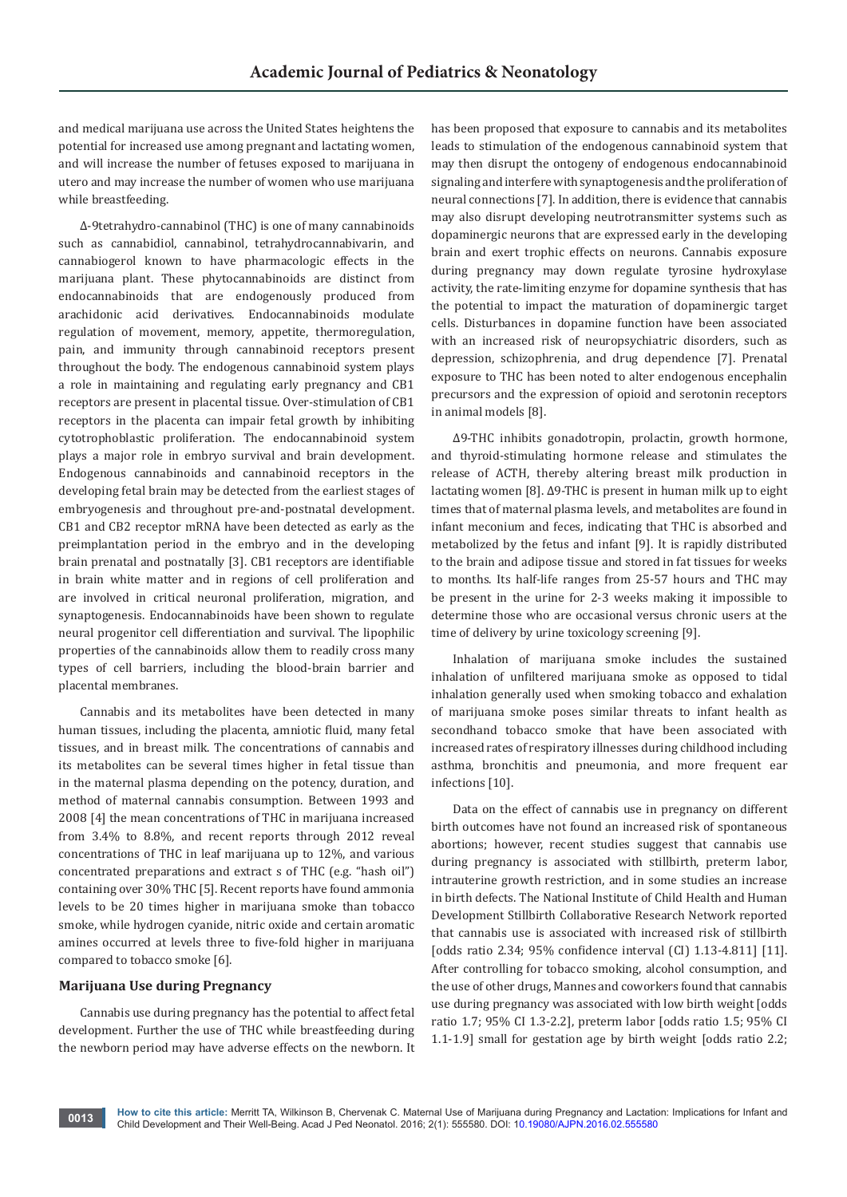and medical marijuana use across the United States heightens the potential for increased use among pregnant and lactating women, and will increase the number of fetuses exposed to marijuana in utero and may increase the number of women who use marijuana while breastfeeding.

Δ-9tetrahydro-cannabinol (THC) is one of many cannabinoids such as cannabidiol, cannabinol, tetrahydrocannabivarin, and cannabiogerol known to have pharmacologic effects in the marijuana plant. These phytocannabinoids are distinct from endocannabinoids that are endogenously produced from arachidonic acid derivatives. Endocannabinoids modulate regulation of movement, memory, appetite, thermoregulation, pain, and immunity through cannabinoid receptors present throughout the body. The endogenous cannabinoid system plays a role in maintaining and regulating early pregnancy and CB1 receptors are present in placental tissue. Over-stimulation of CB1 receptors in the placenta can impair fetal growth by inhibiting cytotrophoblastic proliferation. The endocannabinoid system plays a major role in embryo survival and brain development. Endogenous cannabinoids and cannabinoid receptors in the developing fetal brain may be detected from the earliest stages of embryogenesis and throughout pre-and-postnatal development. CB1 and CB2 receptor mRNA have been detected as early as the preimplantation period in the embryo and in the developing brain prenatal and postnatally [3]. CB1 receptors are identifiable in brain white matter and in regions of cell proliferation and are involved in critical neuronal proliferation, migration, and synaptogenesis. Endocannabinoids have been shown to regulate neural progenitor cell differentiation and survival. The lipophilic properties of the cannabinoids allow them to readily cross many types of cell barriers, including the blood-brain barrier and placental membranes.

Cannabis and its metabolites have been detected in many human tissues, including the placenta, amniotic fluid, many fetal tissues, and in breast milk. The concentrations of cannabis and its metabolites can be several times higher in fetal tissue than in the maternal plasma depending on the potency, duration, and method of maternal cannabis consumption. Between 1993 and 2008 [4] the mean concentrations of THC in marijuana increased from 3.4% to 8.8%, and recent reports through 2012 reveal concentrations of THC in leaf marijuana up to 12%, and various concentrated preparations and extract s of THC (e.g. "hash oil") containing over 30% THC [5]. Recent reports have found ammonia levels to be 20 times higher in marijuana smoke than tobacco smoke, while hydrogen cyanide, nitric oxide and certain aromatic amines occurred at levels three to five-fold higher in marijuana compared to tobacco smoke [6].

## **Marijuana Use during Pregnancy**

Cannabis use during pregnancy has the potential to affect fetal development. Further the use of THC while breastfeeding during the newborn period may have adverse effects on the newborn. It

has been proposed that exposure to cannabis and its metabolites leads to stimulation of the endogenous cannabinoid system that may then disrupt the ontogeny of endogenous endocannabinoid signaling and interfere with synaptogenesis and the proliferation of neural connections [7]. In addition, there is evidence that cannabis may also disrupt developing neutrotransmitter systems such as dopaminergic neurons that are expressed early in the developing brain and exert trophic effects on neurons. Cannabis exposure during pregnancy may down regulate tyrosine hydroxylase activity, the rate-limiting enzyme for dopamine synthesis that has the potential to impact the maturation of dopaminergic target cells. Disturbances in dopamine function have been associated with an increased risk of neuropsychiatric disorders, such as depression, schizophrenia, and drug dependence [7]. Prenatal exposure to THC has been noted to alter endogenous encephalin precursors and the expression of opioid and serotonin receptors in animal models [8].

Δ9-THC inhibits gonadotropin, prolactin, growth hormone, and thyroid-stimulating hormone release and stimulates the release of ACTH, thereby altering breast milk production in lactating women [8]. Δ9-THC is present in human milk up to eight times that of maternal plasma levels, and metabolites are found in infant meconium and feces, indicating that THC is absorbed and metabolized by the fetus and infant [9]. It is rapidly distributed to the brain and adipose tissue and stored in fat tissues for weeks to months. Its half-life ranges from 25-57 hours and THC may be present in the urine for 2-3 weeks making it impossible to determine those who are occasional versus chronic users at the time of delivery by urine toxicology screening [9].

Inhalation of marijuana smoke includes the sustained inhalation of unfiltered marijuana smoke as opposed to tidal inhalation generally used when smoking tobacco and exhalation of marijuana smoke poses similar threats to infant health as secondhand tobacco smoke that have been associated with increased rates of respiratory illnesses during childhood including asthma, bronchitis and pneumonia, and more frequent ear infections [10].

Data on the effect of cannabis use in pregnancy on different birth outcomes have not found an increased risk of spontaneous abortions; however, recent studies suggest that cannabis use during pregnancy is associated with stillbirth, preterm labor, intrauterine growth restriction, and in some studies an increase in birth defects. The National Institute of Child Health and Human Development Stillbirth Collaborative Research Network reported that cannabis use is associated with increased risk of stillbirth [odds ratio 2.34; 95% confidence interval (CI) 1.13-4.811] [11]. After controlling for tobacco smoking, alcohol consumption, and the use of other drugs, Mannes and coworkers found that cannabis use during pregnancy was associated with low birth weight [odds ratio 1.7; 95% CI 1.3-2.2], preterm labor [odds ratio 1.5; 95% CI 1.1-1.9] small for gestation age by birth weight [odds ratio 2.2;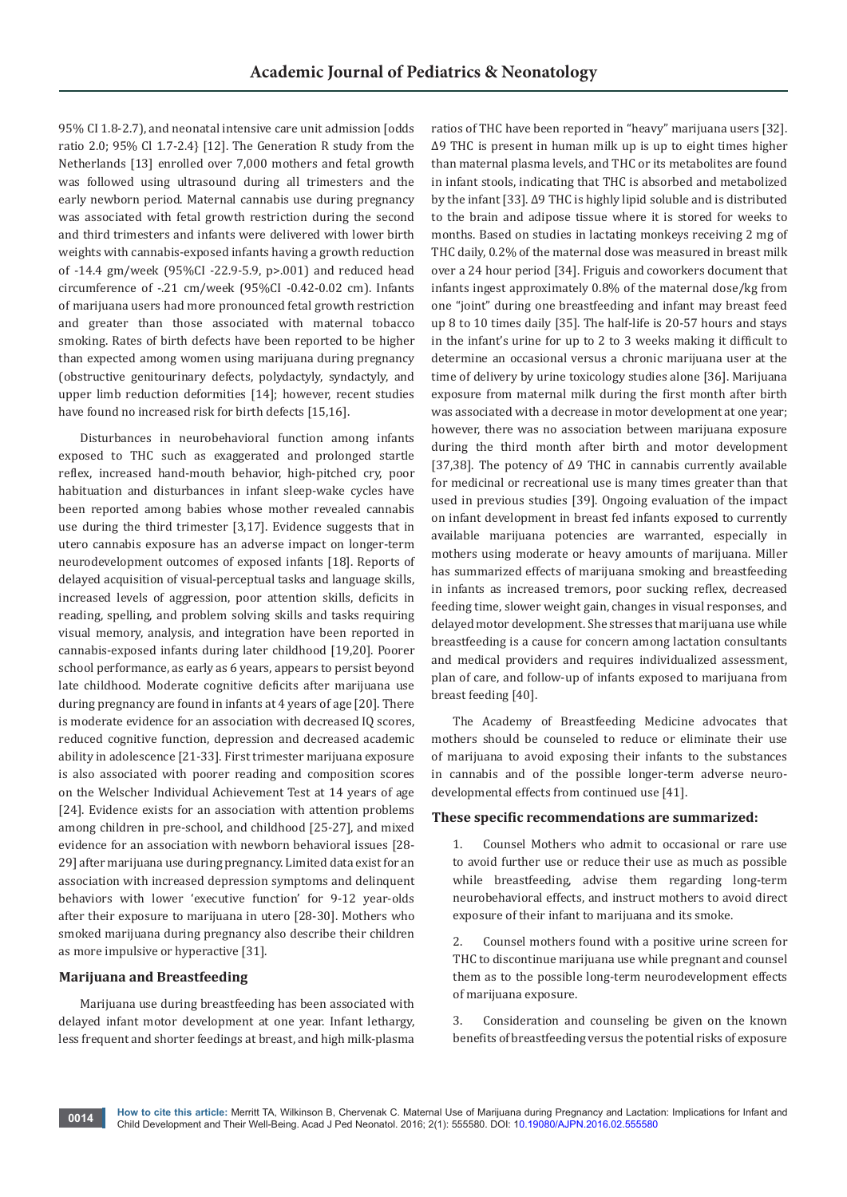95% CI 1.8-2.7), and neonatal intensive care unit admission [odds ratio 2.0; 95% Cl 1.7-2.4} [12]. The Generation R study from the Netherlands [13] enrolled over 7,000 mothers and fetal growth was followed using ultrasound during all trimesters and the early newborn period. Maternal cannabis use during pregnancy was associated with fetal growth restriction during the second and third trimesters and infants were delivered with lower birth weights with cannabis-exposed infants having a growth reduction of -14.4 gm/week (95%CI -22.9-5.9, p>.001) and reduced head circumference of -.21 cm/week (95%CI -0.42-0.02 cm). Infants of marijuana users had more pronounced fetal growth restriction and greater than those associated with maternal tobacco smoking. Rates of birth defects have been reported to be higher than expected among women using marijuana during pregnancy (obstructive genitourinary defects, polydactyly, syndactyly, and upper limb reduction deformities [14]; however, recent studies have found no increased risk for birth defects [15,16].

Disturbances in neurobehavioral function among infants exposed to THC such as exaggerated and prolonged startle reflex, increased hand-mouth behavior, high-pitched cry, poor habituation and disturbances in infant sleep-wake cycles have been reported among babies whose mother revealed cannabis use during the third trimester [3,17]. Evidence suggests that in utero cannabis exposure has an adverse impact on longer-term neurodevelopment outcomes of exposed infants [18]. Reports of delayed acquisition of visual-perceptual tasks and language skills, increased levels of aggression, poor attention skills, deficits in reading, spelling, and problem solving skills and tasks requiring visual memory, analysis, and integration have been reported in cannabis-exposed infants during later childhood [19,20]. Poorer school performance, as early as 6 years, appears to persist beyond late childhood. Moderate cognitive deficits after marijuana use during pregnancy are found in infants at 4 years of age [20]. There is moderate evidence for an association with decreased IQ scores, reduced cognitive function, depression and decreased academic ability in adolescence [21-33]. First trimester marijuana exposure is also associated with poorer reading and composition scores on the Welscher Individual Achievement Test at 14 years of age [24]. Evidence exists for an association with attention problems among children in pre-school, and childhood [25-27], and mixed evidence for an association with newborn behavioral issues [28- 29] after marijuana use during pregnancy. Limited data exist for an association with increased depression symptoms and delinquent behaviors with lower 'executive function' for 9-12 year-olds after their exposure to marijuana in utero [28-30]. Mothers who smoked marijuana during pregnancy also describe their children as more impulsive or hyperactive [31].

## **Marijuana and Breastfeeding**

Marijuana use during breastfeeding has been associated with delayed infant motor development at one year. Infant lethargy, less frequent and shorter feedings at breast, and high milk-plasma ratios of THC have been reported in "heavy" marijuana users [32]. Δ9 THC is present in human milk up is up to eight times higher than maternal plasma levels, and THC or its metabolites are found in infant stools, indicating that THC is absorbed and metabolized by the infant [33]. Δ9 THC is highly lipid soluble and is distributed to the brain and adipose tissue where it is stored for weeks to months. Based on studies in lactating monkeys receiving 2 mg of THC daily, 0.2% of the maternal dose was measured in breast milk over a 24 hour period [34]. Friguis and coworkers document that infants ingest approximately 0.8% of the maternal dose/kg from one "joint" during one breastfeeding and infant may breast feed up 8 to 10 times daily [35]. The half-life is 20-57 hours and stays in the infant's urine for up to 2 to 3 weeks making it difficult to determine an occasional versus a chronic marijuana user at the time of delivery by urine toxicology studies alone [36]. Marijuana exposure from maternal milk during the first month after birth was associated with a decrease in motor development at one year; however, there was no association between marijuana exposure during the third month after birth and motor development [37,38]. The potency of Δ9 THC in cannabis currently available for medicinal or recreational use is many times greater than that used in previous studies [39]. Ongoing evaluation of the impact on infant development in breast fed infants exposed to currently available marijuana potencies are warranted, especially in mothers using moderate or heavy amounts of marijuana. Miller has summarized effects of marijuana smoking and breastfeeding in infants as increased tremors, poor sucking reflex, decreased feeding time, slower weight gain, changes in visual responses, and delayed motor development. She stresses that marijuana use while breastfeeding is a cause for concern among lactation consultants and medical providers and requires individualized assessment, plan of care, and follow-up of infants exposed to marijuana from breast feeding [40].

The Academy of Breastfeeding Medicine advocates that mothers should be counseled to reduce or eliminate their use of marijuana to avoid exposing their infants to the substances in cannabis and of the possible longer-term adverse neurodevelopmental effects from continued use [41].

#### **These specific recommendations are summarized:**

1. Counsel Mothers who admit to occasional or rare use to avoid further use or reduce their use as much as possible while breastfeeding, advise them regarding long-term neurobehavioral effects, and instruct mothers to avoid direct exposure of their infant to marijuana and its smoke.

2. Counsel mothers found with a positive urine screen for THC to discontinue marijuana use while pregnant and counsel them as to the possible long-term neurodevelopment effects of marijuana exposure.

3. Consideration and counseling be given on the known benefits of breastfeeding versus the potential risks of exposure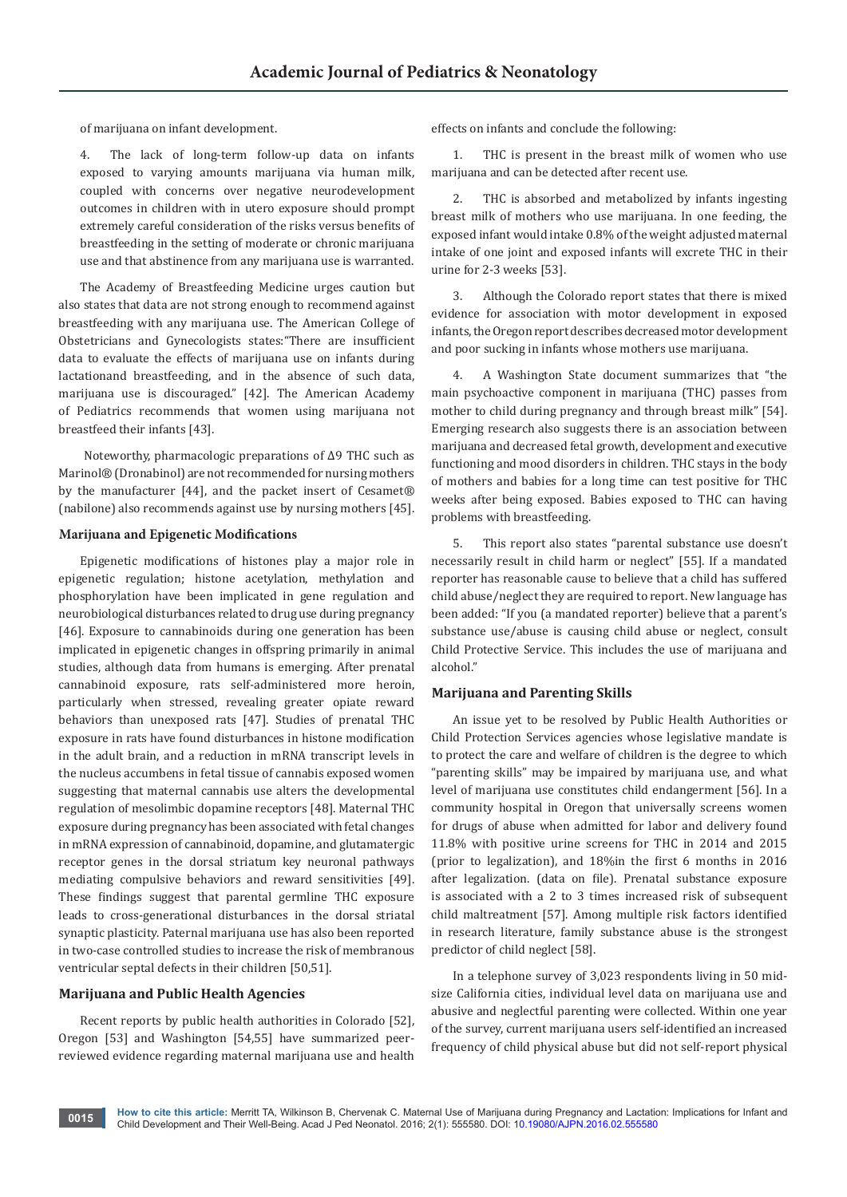of marijuana on infant development.

4. The lack of long-term follow-up data on infants exposed to varying amounts marijuana via human milk, coupled with concerns over negative neurodevelopment outcomes in children with in utero exposure should prompt extremely careful consideration of the risks versus benefits of breastfeeding in the setting of moderate or chronic marijuana use and that abstinence from any marijuana use is warranted.

The Academy of Breastfeeding Medicine urges caution but also states that data are not strong enough to recommend against breastfeeding with any marijuana use. The American College of Obstetricians and Gynecologists states:"There are insufficient data to evaluate the effects of marijuana use on infants during lactationand breastfeeding, and in the absence of such data, marijuana use is discouraged." [42]. The American Academy of Pediatrics recommends that women using marijuana not breastfeed their infants [43].

 Noteworthy, pharmacologic preparations of Δ9 THC such as Marinol® (Dronabinol) are not recommended for nursing mothers by the manufacturer [44], and the packet insert of Cesamet® (nabilone) also recommends against use by nursing mothers [45].

#### **Marijuana and Epigenetic Modifications**

Epigenetic modifications of histones play a major role in epigenetic regulation; histone acetylation, methylation and phosphorylation have been implicated in gene regulation and neurobiological disturbances related to drug use during pregnancy [46]. Exposure to cannabinoids during one generation has been implicated in epigenetic changes in offspring primarily in animal studies, although data from humans is emerging. After prenatal cannabinoid exposure, rats self-administered more heroin, particularly when stressed, revealing greater opiate reward behaviors than unexposed rats [47]. Studies of prenatal THC exposure in rats have found disturbances in histone modification in the adult brain, and a reduction in mRNA transcript levels in the nucleus accumbens in fetal tissue of cannabis exposed women suggesting that maternal cannabis use alters the developmental regulation of mesolimbic dopamine receptors [48]. Maternal THC exposure during pregnancy has been associated with fetal changes in mRNA expression of cannabinoid, dopamine, and glutamatergic receptor genes in the dorsal striatum key neuronal pathways mediating compulsive behaviors and reward sensitivities [49]. These findings suggest that parental germline THC exposure leads to cross-generational disturbances in the dorsal striatal synaptic plasticity. Paternal marijuana use has also been reported in two-case controlled studies to increase the risk of membranous ventricular septal defects in their children [50,51].

#### **Marijuana and Public Health Agencies**

Recent reports by public health authorities in Colorado [52], Oregon [53] and Washington [54,55] have summarized peerreviewed evidence regarding maternal marijuana use and health

effects on infants and conclude the following:

1. THC is present in the breast milk of women who use marijuana and can be detected after recent use.

2. THC is absorbed and metabolized by infants ingesting breast milk of mothers who use marijuana. In one feeding, the exposed infant would intake 0.8% of the weight adjusted maternal intake of one joint and exposed infants will excrete THC in their urine for 2-3 weeks [53].

3. Although the Colorado report states that there is mixed evidence for association with motor development in exposed infants, the Oregon report describes decreased motor development and poor sucking in infants whose mothers use marijuana.

4. A Washington State document summarizes that "the main psychoactive component in marijuana (THC) passes from mother to child during pregnancy and through breast milk" [54]. Emerging research also suggests there is an association between marijuana and decreased fetal growth, development and executive functioning and mood disorders in children. THC stays in the body of mothers and babies for a long time can test positive for THC weeks after being exposed. Babies exposed to THC can having problems with breastfeeding.

5. This report also states "parental substance use doesn't necessarily result in child harm or neglect" [55]. If a mandated reporter has reasonable cause to believe that a child has suffered child abuse/neglect they are required to report. New language has been added: "If you (a mandated reporter) believe that a parent's substance use/abuse is causing child abuse or neglect, consult Child Protective Service. This includes the use of marijuana and alcohol."

#### **Marijuana and Parenting Skills**

An issue yet to be resolved by Public Health Authorities or Child Protection Services agencies whose legislative mandate is to protect the care and welfare of children is the degree to which "parenting skills" may be impaired by marijuana use, and what level of marijuana use constitutes child endangerment [56]. In a community hospital in Oregon that universally screens women for drugs of abuse when admitted for labor and delivery found 11.8% with positive urine screens for THC in 2014 and 2015 (prior to legalization), and 18%in the first 6 months in 2016 after legalization. (data on file). Prenatal substance exposure is associated with a 2 to 3 times increased risk of subsequent child maltreatment [57]. Among multiple risk factors identified in research literature, family substance abuse is the strongest predictor of child neglect [58].

In a telephone survey of 3,023 respondents living in 50 midsize California cities, individual level data on marijuana use and abusive and neglectful parenting were collected. Within one year of the survey, current marijuana users self-identified an increased frequency of child physical abuse but did not self-report physical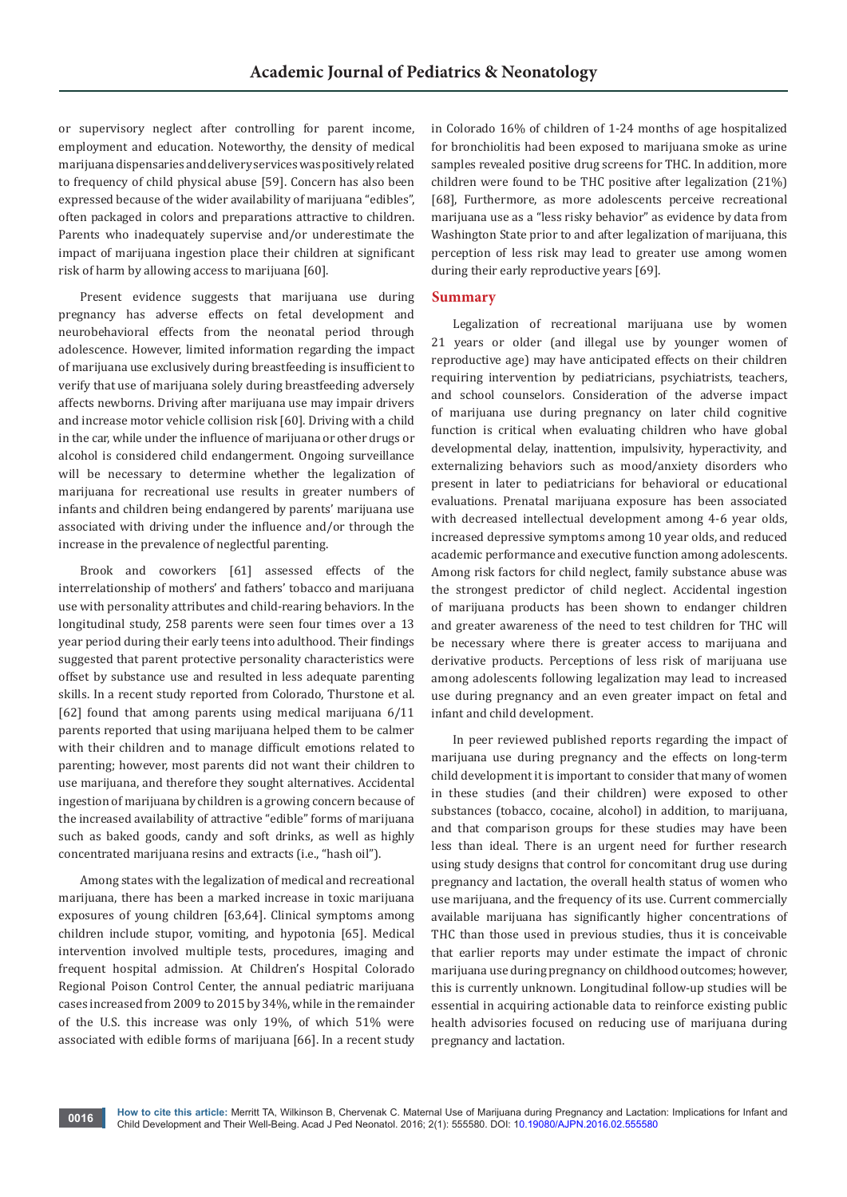or supervisory neglect after controlling for parent income, employment and education. Noteworthy, the density of medical marijuana dispensaries and delivery services was positively related to frequency of child physical abuse [59]. Concern has also been expressed because of the wider availability of marijuana "edibles", often packaged in colors and preparations attractive to children. Parents who inadequately supervise and/or underestimate the impact of marijuana ingestion place their children at significant risk of harm by allowing access to marijuana [60].

Present evidence suggests that marijuana use during pregnancy has adverse effects on fetal development and neurobehavioral effects from the neonatal period through adolescence. However, limited information regarding the impact of marijuana use exclusively during breastfeeding is insufficient to verify that use of marijuana solely during breastfeeding adversely affects newborns. Driving after marijuana use may impair drivers and increase motor vehicle collision risk [60]. Driving with a child in the car, while under the influence of marijuana or other drugs or alcohol is considered child endangerment. Ongoing surveillance will be necessary to determine whether the legalization of marijuana for recreational use results in greater numbers of infants and children being endangered by parents' marijuana use associated with driving under the influence and/or through the increase in the prevalence of neglectful parenting.

Brook and coworkers [61] assessed effects of the interrelationship of mothers' and fathers' tobacco and marijuana use with personality attributes and child-rearing behaviors. In the longitudinal study, 258 parents were seen four times over a 13 year period during their early teens into adulthood. Their findings suggested that parent protective personality characteristics were offset by substance use and resulted in less adequate parenting skills. In a recent study reported from Colorado, Thurstone et al. [62] found that among parents using medical marijuana 6/11 parents reported that using marijuana helped them to be calmer with their children and to manage difficult emotions related to parenting; however, most parents did not want their children to use marijuana, and therefore they sought alternatives. Accidental ingestion of marijuana by children is a growing concern because of the increased availability of attractive "edible" forms of marijuana such as baked goods, candy and soft drinks, as well as highly concentrated marijuana resins and extracts (i.e., "hash oil").

Among states with the legalization of medical and recreational marijuana, there has been a marked increase in toxic marijuana exposures of young children [63,64]. Clinical symptoms among children include stupor, vomiting, and hypotonia [65]. Medical intervention involved multiple tests, procedures, imaging and frequent hospital admission. At Children's Hospital Colorado Regional Poison Control Center, the annual pediatric marijuana cases increased from 2009 to 2015 by 34%, while in the remainder of the U.S. this increase was only 19%, of which 51% were associated with edible forms of marijuana [66]. In a recent study

in Colorado 16% of children of 1-24 months of age hospitalized for bronchiolitis had been exposed to marijuana smoke as urine samples revealed positive drug screens for THC. In addition, more children were found to be THC positive after legalization (21%) [68], Furthermore, as more adolescents perceive recreational marijuana use as a "less risky behavior" as evidence by data from Washington State prior to and after legalization of marijuana, this perception of less risk may lead to greater use among women during their early reproductive years [69].

#### **Summary**

Legalization of recreational marijuana use by women 21 years or older (and illegal use by younger women of reproductive age) may have anticipated effects on their children requiring intervention by pediatricians, psychiatrists, teachers, and school counselors. Consideration of the adverse impact of marijuana use during pregnancy on later child cognitive function is critical when evaluating children who have global developmental delay, inattention, impulsivity, hyperactivity, and externalizing behaviors such as mood/anxiety disorders who present in later to pediatricians for behavioral or educational evaluations. Prenatal marijuana exposure has been associated with decreased intellectual development among 4-6 year olds, increased depressive symptoms among 10 year olds, and reduced academic performance and executive function among adolescents. Among risk factors for child neglect, family substance abuse was the strongest predictor of child neglect. Accidental ingestion of marijuana products has been shown to endanger children and greater awareness of the need to test children for THC will be necessary where there is greater access to marijuana and derivative products. Perceptions of less risk of marijuana use among adolescents following legalization may lead to increased use during pregnancy and an even greater impact on fetal and infant and child development.

In peer reviewed published reports regarding the impact of marijuana use during pregnancy and the effects on long-term child development it is important to consider that many of women in these studies (and their children) were exposed to other substances (tobacco, cocaine, alcohol) in addition, to marijuana, and that comparison groups for these studies may have been less than ideal. There is an urgent need for further research using study designs that control for concomitant drug use during pregnancy and lactation, the overall health status of women who use marijuana, and the frequency of its use. Current commercially available marijuana has significantly higher concentrations of THC than those used in previous studies, thus it is conceivable that earlier reports may under estimate the impact of chronic marijuana use during pregnancy on childhood outcomes; however, this is currently unknown. Longitudinal follow-up studies will be essential in acquiring actionable data to reinforce existing public health advisories focused on reducing use of marijuana during pregnancy and lactation.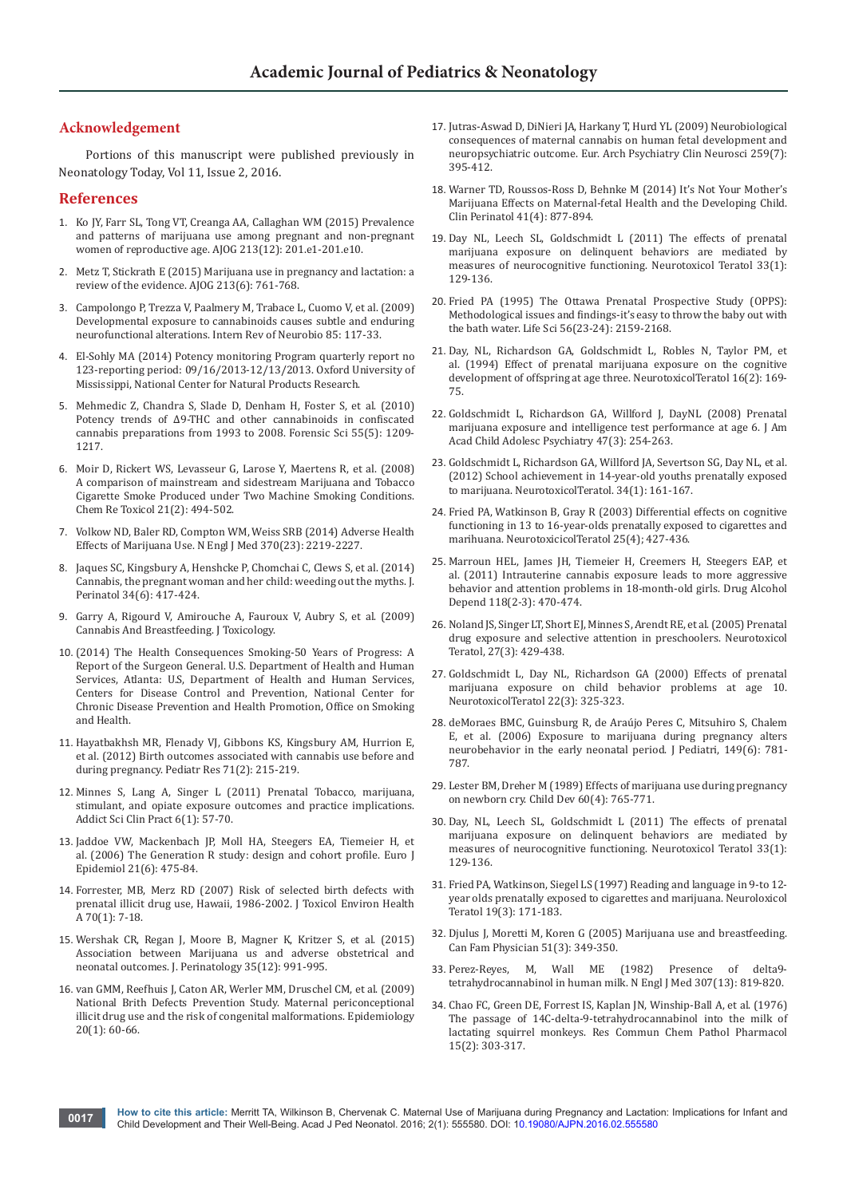## **Acknowledgement**

 Portions of this manuscript were published previously in Neonatology Today, Vol 11, Issue 2, 2016.

## **References**

- 1. [Ko JY, Farr SL, Tong VT, Creanga AA, Callaghan WM \(2015\) Prevalence](file:///D:/Journals/AJPN/AJPN.MS.ID.555580/AJPN-MRW-16-568_W/Am%20J%20Obstet%20Gynecol)  [and patterns of marijuana use among pregnant and non-pregnant](file:///D:/Journals/AJPN/AJPN.MS.ID.555580/AJPN-MRW-16-568_W/Am%20J%20Obstet%20Gynecol)  [women of reproductive age. AJOG 213\(12\): 201.e1-201.e10.](file:///D:/Journals/AJPN/AJPN.MS.ID.555580/AJPN-MRW-16-568_W/Am%20J%20Obstet%20Gynecol)
- 2. [Metz T, Stickrath E \(2015\) Marijuana use in pregnancy and lactation: a](https://www.ncbi.nlm.nih.gov/pubmed/25986032)  [review of the evidence. AJOG 213\(6\): 761-768.](https://www.ncbi.nlm.nih.gov/pubmed/25986032)
- 3. [Campolongo P, Trezza V, Paalmery M, Trabace L, Cuomo V, et al. \(2009\)](https://www.ncbi.nlm.nih.gov/pubmed/19607965)  [Developmental exposure to cannabinoids causes subtle and enduring](https://www.ncbi.nlm.nih.gov/pubmed/19607965)  [neurofunctional alterations. Intern Rev of Neurobio 85: 117-33.](https://www.ncbi.nlm.nih.gov/pubmed/19607965)
- 4. El-Sohly MA (2014) Potency monitoring Program quarterly report no 123-reporting period: 09/16/2013-12/13/2013. Oxford University of Mississippi, National Center for Natural Products Research.
- 5. [Mehmedic Z, Chandra S, Slade D, Denham H, Foster S, et al. \(2010\)](https://www.ncbi.nlm.nih.gov/pubmed/20487147)  [Potency trends of Δ9-THC and other cannabinoids in confiscated](https://www.ncbi.nlm.nih.gov/pubmed/20487147)  [cannabis preparations from 1993 to 2008. Forensic Sci 55\(5\): 1209-](https://www.ncbi.nlm.nih.gov/pubmed/20487147) [1217.](https://www.ncbi.nlm.nih.gov/pubmed/20487147)
- 6. [Moir D, Rickert WS, Levasseur G, Larose Y, Maertens R, et al. \(2008\)](https://www.ncbi.nlm.nih.gov/pubmed/18062674)  [A comparison of mainstream and sidestream Marijuana and Tobacco](https://www.ncbi.nlm.nih.gov/pubmed/18062674)  [Cigarette Smoke Produced under Two Machine Smoking Conditions.](https://www.ncbi.nlm.nih.gov/pubmed/18062674)  [Chem Re Toxicol 21\(2\): 494-502.](https://www.ncbi.nlm.nih.gov/pubmed/18062674)
- 7. [Volkow ND, Baler RD, Compton WM, Weiss SRB \(2014\) Adverse Health](https://www.ncbi.nlm.nih.gov/pubmed/24897085)  [Effects of Marijuana Use. N Engl J Med 370\(23\): 2219-2227.](https://www.ncbi.nlm.nih.gov/pubmed/24897085)
- 8. [Jaques SC, Kingsbury A, Henshcke P, Chomchai C, Clews S, et al. \(2014\)](https://www.ncbi.nlm.nih.gov/pubmed/24457255)  [Cannabis, the pregnant woman and her child: weeding out the myths. J.](https://www.ncbi.nlm.nih.gov/pubmed/24457255)  [Perinatol 34\(6\): 417-424.](https://www.ncbi.nlm.nih.gov/pubmed/24457255)
- 9. [Garry A, Rigourd V, Amirouche A, Fauroux V, Aubry S, et al. \(2009\)](https://www.ncbi.nlm.nih.gov/pmc/articles/PMC2809366/)  [Cannabis And Breastfeeding. J Toxicology.](https://www.ncbi.nlm.nih.gov/pmc/articles/PMC2809366/)
- 10. [\(2014\) The Health Consequences Smoking-50 Years of Progress: A](https://www.ncbi.nlm.nih.gov/books/NBK179276/)  [Report of the Surgeon General. U.S. Department of Health and Human](https://www.ncbi.nlm.nih.gov/books/NBK179276/)  [Services, Atlanta: U.S, Department of Health and Human Services,](https://www.ncbi.nlm.nih.gov/books/NBK179276/)  [Centers for Disease Control and Prevention, National Center for](https://www.ncbi.nlm.nih.gov/books/NBK179276/)  [Chronic Disease Prevention and Health Promotion, Office on Smoking](https://www.ncbi.nlm.nih.gov/books/NBK179276/)  [and Health.](https://www.ncbi.nlm.nih.gov/books/NBK179276/)
- 11. [Hayatbakhsh MR, Flenady VJ, Gibbons KS, Kingsbury AM, Hurrion E,](https://www.ncbi.nlm.nih.gov/pubmed/22258135)  [et al. \(2012\) Birth outcomes associated with cannabis use before and](https://www.ncbi.nlm.nih.gov/pubmed/22258135)  [during pregnancy. Pediatr Res 71\(2\): 215-219.](https://www.ncbi.nlm.nih.gov/pubmed/22258135)
- 12. [Minnes S, Lang A, Singer L \(2011\) Prenatal Tobacco, marijuana,](https://www.ncbi.nlm.nih.gov/pubmed/22003423)  [stimulant, and opiate exposure outcomes and practice implications.](https://www.ncbi.nlm.nih.gov/pubmed/22003423)  [Addict Sci Clin Pract 6\(1\): 57-70.](https://www.ncbi.nlm.nih.gov/pubmed/22003423)
- 13. [Jaddoe VW, Mackenbach JP, Moll HA, Steegers EA, Tiemeier H, et](https://www.ncbi.nlm.nih.gov/pubmed/16826450)  [al. \(2006\) The Generation R study: design and cohort profile. Euro J](https://www.ncbi.nlm.nih.gov/pubmed/16826450)  [Epidemiol 21\(6\): 475-84.](https://www.ncbi.nlm.nih.gov/pubmed/16826450)
- 14. [Forrester, MB, Merz RD \(2007\) Risk of selected birth defects with](https://www.ncbi.nlm.nih.gov/pubmed/17162495)  [prenatal illicit drug use, Hawaii, 1986-2002. J Toxicol Environ Health](https://www.ncbi.nlm.nih.gov/pubmed/17162495)  [A 70\(1\): 7-18.](https://www.ncbi.nlm.nih.gov/pubmed/17162495)
- 15. [Wershak CR, Regan J, Moore B, Magner K, Kritzer S, et al. \(2015\)](https://www.ncbi.nlm.nih.gov/pubmed/26401751)  [Association between Marijuana us and adverse obstetrical and](https://www.ncbi.nlm.nih.gov/pubmed/26401751)  [neonatal outcomes. J. Perinatology 35\(12\): 991-995.](https://www.ncbi.nlm.nih.gov/pubmed/26401751)
- 16. [van GMM, Reefhuis J, Caton AR, Werler MM, Druschel CM, et al. \(2009\)](https://www.ncbi.nlm.nih.gov/pubmed/19057385)  [National Brith Defects Prevention Study. Maternal periconceptional](https://www.ncbi.nlm.nih.gov/pubmed/19057385)  [illicit drug use and the risk of congenital malformations. Epidemiology](https://www.ncbi.nlm.nih.gov/pubmed/19057385)  [20\(1\): 60-66.](https://www.ncbi.nlm.nih.gov/pubmed/19057385)
- 17. [Jutras-Aswad D, DiNieri JA, Harkany T, Hurd YL \(2009\) Neurobiological](https://www.ncbi.nlm.nih.gov/pubmed/19568685)  [consequences of maternal cannabis on human fetal development and](https://www.ncbi.nlm.nih.gov/pubmed/19568685)  [neuropsychiatric outcome. Eur. Arch Psychiatry Clin Neurosci 259\(7\):](https://www.ncbi.nlm.nih.gov/pubmed/19568685)  [395-412.](https://www.ncbi.nlm.nih.gov/pubmed/19568685)
- 18. [Warner TD, Roussos-Ross D, Behnke M \(2014\) It's Not Your Mother's](https://www.ncbi.nlm.nih.gov/pubmed/25459779)  [Marijuana Effects on Maternal-fetal Health and the Developing Child.](https://www.ncbi.nlm.nih.gov/pubmed/25459779)  [Clin Perinatol 41\(4\): 877-894.](https://www.ncbi.nlm.nih.gov/pubmed/25459779)
- 19. [Day NL, Leech SL, Goldschmidt L \(2011\) The effects of prenatal](https://www.ncbi.nlm.nih.gov/pmc/articles/PMC3052937/)  [marijuana exposure on delinquent behaviors are mediated by](https://www.ncbi.nlm.nih.gov/pmc/articles/PMC3052937/)  [measures of neurocognitive functioning. Neurotoxicol Teratol 33\(1\):](https://www.ncbi.nlm.nih.gov/pmc/articles/PMC3052937/)  [129-136.](https://www.ncbi.nlm.nih.gov/pmc/articles/PMC3052937/)
- 20. [Fried PA \(1995\) The Ottawa Prenatal Prospective Study \(OPPS\):](https://www.ncbi.nlm.nih.gov/pubmed/7539879)  [Methodological issues and findings-it's easy to throw the baby out with](https://www.ncbi.nlm.nih.gov/pubmed/7539879)  [the bath water. Life Sci 56\(23-24\): 2159-2168.](https://www.ncbi.nlm.nih.gov/pubmed/7539879)
- 21. [Day, NL, Richardson GA, Goldschmidt L, Robles N, Taylor PM, et](https://www.ncbi.nlm.nih.gov/pubmed/8052191)  [al. \(1994\) Effect of prenatal marijuana exposure on the cognitive](https://www.ncbi.nlm.nih.gov/pubmed/8052191)  [development of offspring at age three. NeurotoxicolTeratol 16\(2\): 169-](https://www.ncbi.nlm.nih.gov/pubmed/8052191) [75.](https://www.ncbi.nlm.nih.gov/pubmed/8052191)
- 22. [Goldschmidt L, Richardson GA, Willford J, DayNL \(2008\) Prenatal](https://www.ncbi.nlm.nih.gov/pubmed/18216735)  [marijuana exposure and intelligence test performance at age 6. J Am](https://www.ncbi.nlm.nih.gov/pubmed/18216735)  [Acad Child Adolesc Psychiatry 47\(3\): 254-263.](https://www.ncbi.nlm.nih.gov/pubmed/18216735)
- 23. [Goldschmidt L, Richardson GA, Willford JA, Severtson SG, Day NL, et al.](https://www.ncbi.nlm.nih.gov/pubmed/21884785)  [\(2012\) School achievement in 14-year-old youths prenatally exposed](https://www.ncbi.nlm.nih.gov/pubmed/21884785)  [to marijuana. NeurotoxicolTeratol. 34\(1\): 161-167.](https://www.ncbi.nlm.nih.gov/pubmed/21884785)
- 24. [Fried PA, Watkinson B, Gray R \(2003\) Differential effects on cognitive](https://www.ncbi.nlm.nih.gov/pubmed/12798960)  [functioning in 13 to 16-year-olds prenatally exposed to cigarettes and](https://www.ncbi.nlm.nih.gov/pubmed/12798960)  [marihuana. NeurotoxicicolTeratol 25\(4\); 427-436.](https://www.ncbi.nlm.nih.gov/pubmed/12798960)
- 25. [Marroun HEL, James JH, Tiemeier H, Creemers H, Steegers EAP, et](http://loop.frontiersin.org/publications/21470799)  [al. \(2011\) Intrauterine cannabis exposure leads to more aggressive](http://loop.frontiersin.org/publications/21470799)  [behavior and attention problems in 18-month-old girls. Drug Alcohol](http://loop.frontiersin.org/publications/21470799)  [Depend 118\(2-3\): 470-474.](http://loop.frontiersin.org/publications/21470799)
- 26. [Noland JS, Singer LT, Short EJ, Minnes S, Arendt RE, et al. \(2005\) Prenatal](https://www.ncbi.nlm.nih.gov/pubmed/15939203)  [drug exposure and selective attention in preschoolers. Neurotoxicol](https://www.ncbi.nlm.nih.gov/pubmed/15939203)  [Teratol, 27\(3\): 429-438](https://www.ncbi.nlm.nih.gov/pubmed/15939203).
- 27. [Goldschmidt L, Day NL, Richardson GA \(2000\) Effects of prenatal](https://www.ncbi.nlm.nih.gov/pubmed/10840176)  [marijuana exposure on child behavior problems at age 10.](https://www.ncbi.nlm.nih.gov/pubmed/10840176)  [NeurotoxicolTeratol 22\(3\): 325-323.](https://www.ncbi.nlm.nih.gov/pubmed/10840176)
- 28. [deMoraes BMC, Guinsburg R, de Araújo Peres C, Mitsuhiro S, Chalem](https://www.ncbi.nlm.nih.gov/pubmed/17137892)  [E, et al. \(2006\) Exposure to marijuana during pregnancy alters](https://www.ncbi.nlm.nih.gov/pubmed/17137892)  [neurobehavior in the early neonatal period. J Pediatri, 149\(6\): 781-](https://www.ncbi.nlm.nih.gov/pubmed/17137892) [787.](https://www.ncbi.nlm.nih.gov/pubmed/17137892)
- 29. [Lester BM, Dreher M \(1989\) Effects of marijuana use during pregnancy](https://www.ncbi.nlm.nih.gov/pubmed/2758874)  [on newborn cry. Child Dev 60\(4\): 765-771.](https://www.ncbi.nlm.nih.gov/pubmed/2758874)
- 30. [Day, NL, Leech SL, Goldschmidt L \(2011\) The effects of prenatal](https://www.ncbi.nlm.nih.gov/pmc/articles/PMC3052937/)  [marijuana exposure on delinquent behaviors are mediated by](https://www.ncbi.nlm.nih.gov/pmc/articles/PMC3052937/)  [measures of neurocognitive functioning. Neurotoxicol Teratol 33\(1\):](https://www.ncbi.nlm.nih.gov/pmc/articles/PMC3052937/)  [129-136.](https://www.ncbi.nlm.nih.gov/pmc/articles/PMC3052937/)
- 31. [Fried PA, Watkinson, Siegel LS \(1997\) Reading and language in 9-to 12](https://www.ncbi.nlm.nih.gov/pubmed/9200137) [year olds prenatally exposed to cigarettes and marijuana. Neuroloxicol](https://www.ncbi.nlm.nih.gov/pubmed/9200137)  [Teratol 19\(3\): 171-183.](https://www.ncbi.nlm.nih.gov/pubmed/9200137)
- 32. [Djulus J, Moretti M, Koren G \(2005\) Marijuana use and breastfeeding.](https://www.ncbi.nlm.nih.gov/pmc/articles/PMC1472960/)  [Can Fam Physician 51\(3\): 349-350.](https://www.ncbi.nlm.nih.gov/pmc/articles/PMC1472960/)
- 33. [Perez-Reyes, M, Wall ME \(1982\) Presence of delta9](https://www.ncbi.nlm.nih.gov/pubmed/6287261) [tetrahydrocannabinol in human milk. N Engl J Med 307\(13\): 819-820.](https://www.ncbi.nlm.nih.gov/pubmed/6287261)
- 34. [Chao FC, Green DE, Forrest IS, Kaplan JN, Winship-Ball A, et al. \(1976\)](https://www.ncbi.nlm.nih.gov/pubmed/824699)  [The passage of 14C-delta-9-tetrahydrocannabinol into the milk of](https://www.ncbi.nlm.nih.gov/pubmed/824699)  [lactating squirrel monkeys. Res Commun Chem Pathol Pharmacol](https://www.ncbi.nlm.nih.gov/pubmed/824699)  [15\(2\): 303-317.](https://www.ncbi.nlm.nih.gov/pubmed/824699)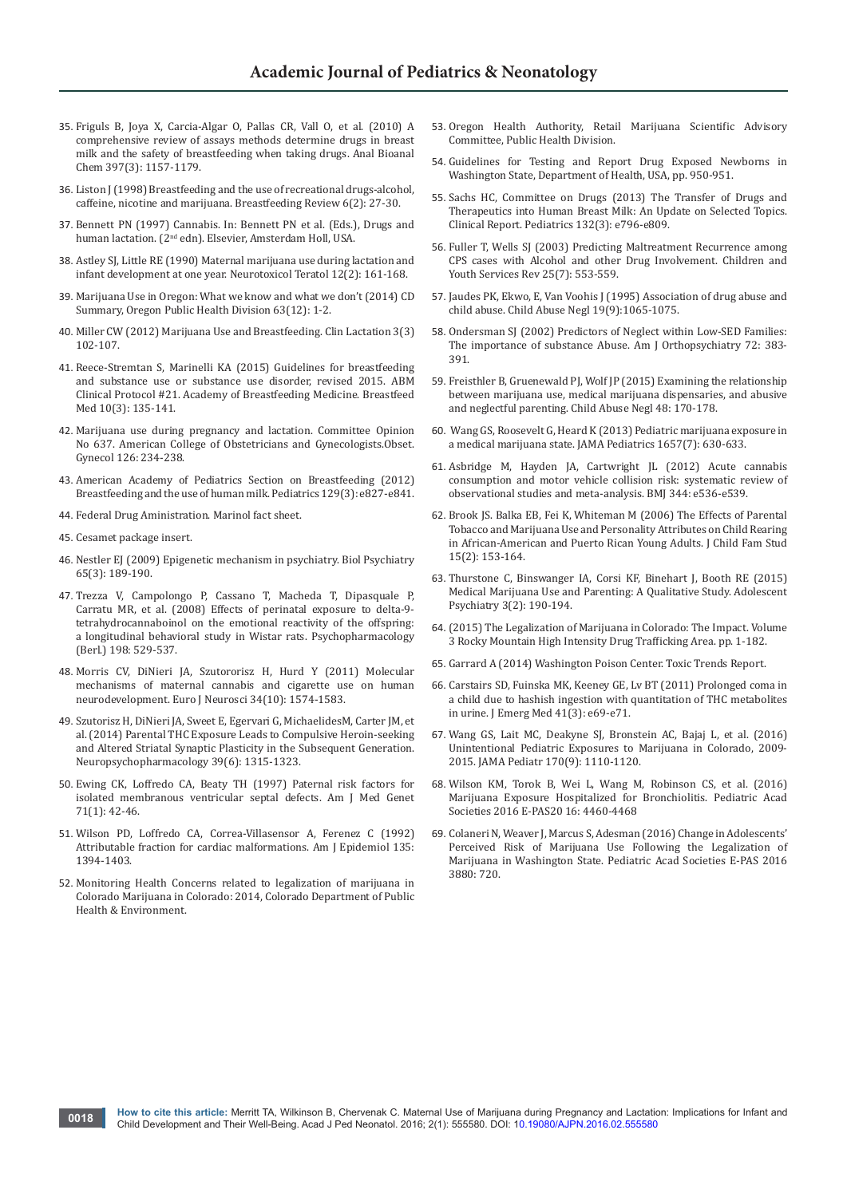- 35. [Friguls B, Joya X, Carcia-Algar O, Pallas CR, Vall O, et al. \(2010\) A](https://www.ncbi.nlm.nih.gov/pubmed/20386886)  [comprehensive review of assays methods determine drugs in breast](https://www.ncbi.nlm.nih.gov/pubmed/20386886)  [milk and the safety of breastfeeding when taking drugs. Anal Bioanal](https://www.ncbi.nlm.nih.gov/pubmed/20386886)  [Chem 397\(3\): 1157-1179.](https://www.ncbi.nlm.nih.gov/pubmed/20386886)
- 36. [Liston J \(1998\) Breastfeeding and the use of recreational drugs-alcohol,](https://www.ncbi.nlm.nih.gov/pubmed/9849117)  [caffeine, nicotine and marijuana. Breastfeeding Review 6\(2\): 27-30.](https://www.ncbi.nlm.nih.gov/pubmed/9849117)
- 37. Bennett PN (1997) Cannabis. In: Bennett PN et al. (Eds.), Drugs and human lactation. (2<sup>nd</sup> edn). Elsevier, Amsterdam Holl, USA.
- 38. [Astley SJ, Little RE \(1990\) Maternal marijuana use during lactation and](https://www.ncbi.nlm.nih.gov/pubmed/2333069)  [infant development at one year. Neurotoxicol Teratol 12\(2\): 161-168.](https://www.ncbi.nlm.nih.gov/pubmed/2333069)
- 39. [Marijuana Use in Oregon: What we know and what we don't \(2014\) CD](http://www.procon.org/sourcefiles/oregon-public-health-division-2014.pdf)  [Summary, Oregon Public Health Division 63\(12\): 1-2.](http://www.procon.org/sourcefiles/oregon-public-health-division-2014.pdf)
- 40. [Miller CW \(2012\) Marijuana Use and Breastfeeding. Clin Lactation 3\(3\)](http://www.ingentaconnect.com/content/springer/clac/2012/00000003/00000003/art00004)  [102-107.](http://www.ingentaconnect.com/content/springer/clac/2012/00000003/00000003/art00004)
- 41. [Reece-Stremtan S, Marinelli KA \(2015\) Guidelines for breastfeeding](https://www.ncbi.nlm.nih.gov/pubmed/25836677)  [and substance use or substance use disorder, revised 2015. ABM](https://www.ncbi.nlm.nih.gov/pubmed/25836677)  [Clinical Protocol #21. Academy of Breastfeeding Medicine. Breastfeed](https://www.ncbi.nlm.nih.gov/pubmed/25836677)  [Med 10\(3\): 135-141.](https://www.ncbi.nlm.nih.gov/pubmed/25836677)
- 42. [Marijuana use during pregnancy and lactation. Committee Opinion](http://www.acog.org/Resources-And-Publications/Committee-Opinions/Committee-on-Obstetric-Practice/Marijuana-Use-During-Pregnancy-and-Lactation)  [No 637. American College of Obstetricians and Gynecologists.Obset.](http://www.acog.org/Resources-And-Publications/Committee-Opinions/Committee-on-Obstetric-Practice/Marijuana-Use-During-Pregnancy-and-Lactation)  [Gynecol 126: 234-238.](http://www.acog.org/Resources-And-Publications/Committee-Opinions/Committee-on-Obstetric-Practice/Marijuana-Use-During-Pregnancy-and-Lactation)
- 43. [American Academy of Pediatrics Section on Breastfeeding \(2012\)](http://pediatrics.aappublications.org/content/115/2/496)  [Breastfeeding and the use of human milk. Pediatrics 129\(3\): e827-e841.](http://pediatrics.aappublications.org/content/115/2/496)
- 44. Federal Drug Aministration. Marinol fact sheet.
- 45. Cesamet package insert.
- 46. [Nestler EJ \(2009\) Epigenetic mechanism in psychiatry. Biol Psychiatry](http://europepmc.org/abstract/med/19146997)  [65\(3\): 189-190.](http://europepmc.org/abstract/med/19146997)
- 47. [Trezza V, Campolongo P, Cassano T, Macheda T, Dipasquale P,](https://www.ncbi.nlm.nih.gov/pubmed/18452035)  [Carratu MR, et al. \(2008\) Effects of perinatal exposure to delta-9](https://www.ncbi.nlm.nih.gov/pubmed/18452035) [tetrahydrocannaboinol on the emotional reactivity of the offspring:](https://www.ncbi.nlm.nih.gov/pubmed/18452035)  [a longitudinal behavioral study in Wistar rats. Psychopharmacology](https://www.ncbi.nlm.nih.gov/pubmed/18452035)  [\(Berl.\) 198: 529-537.](https://www.ncbi.nlm.nih.gov/pubmed/18452035)
- 48. [Morris CV, DiNieri JA, Szutororisz H, Hurd Y \(2011\) Molecular](https://www.ncbi.nlm.nih.gov/pubmed/22103415)  [mechanisms of maternal cannabis and cigarette use on human](https://www.ncbi.nlm.nih.gov/pubmed/22103415)  [neurodevelopment. Euro J Neurosci 34\(10\): 1574-1583.](https://www.ncbi.nlm.nih.gov/pubmed/22103415)
- 49. [Szutorisz H, DiNieri JA, Sweet E, Egervari G, MichaelidesM, Carter JM, et](https://www.ncbi.nlm.nih.gov/pubmed/24385132)  [al. \(2014\) Parental THC Exposure Leads to Compulsive Heroin-seeking](https://www.ncbi.nlm.nih.gov/pubmed/24385132)  [and Altered Striatal Synaptic Plasticity in the Subsequent Generation.](https://www.ncbi.nlm.nih.gov/pubmed/24385132) [Neuropsychopharmacology 39\(6\): 1315-1323.](https://www.ncbi.nlm.nih.gov/pubmed/24385132)
- 50. [Ewing CK, Loffredo CA, Beaty TH \(1997\) Paternal risk factors for](https://www.ncbi.nlm.nih.gov/pubmed/9215767)  [isolated membranous ventricular septal defects. Am J Med Genet](https://www.ncbi.nlm.nih.gov/pubmed/9215767)  [71\(1\): 42-46.](https://www.ncbi.nlm.nih.gov/pubmed/9215767)
- 51. Wilson PD, Loffredo CA, Correa-Villasensor A, Ferenez C (1992) Attributable fraction for cardiac malformations. Am J Epidemiol 135: 1394-1403.
- 52. [Monitoring Health Concerns related to legalization of marijuana in](http://www2.cde.state.co.us/artemis/hemonos/he1282m332015internet/he1282m332015internet01.pdf)  [Colorado Marijuana in Colorado: 2014, Colorado Department of Public](http://www2.cde.state.co.us/artemis/hemonos/he1282m332015internet/he1282m332015internet01.pdf)  [Health & Environment.](http://www2.cde.state.co.us/artemis/hemonos/he1282m332015internet/he1282m332015internet01.pdf)
- 53. [Oregon Health Authority, Retail Marijuana Scientific Advisory](https://public.health.oregon.gov/PreventionWellness/marijuana/Pages/Retail-Marijuana-Scientific-Advisory-Committee.aspx)  [Committee, Public Health Division.](https://public.health.oregon.gov/PreventionWellness/marijuana/Pages/Retail-Marijuana-Scientific-Advisory-Committee.aspx)
- 54. [Guidelines for Testing and Report Drug Exposed Newborns in](http://here.doh.wa.gov/materials/guidelines-drug-exposed-newborns)  [Washington State, Department of Health, USA, pp. 950-951.](http://here.doh.wa.gov/materials/guidelines-drug-exposed-newborns)
- 55. [Sachs HC, Committee on Drugs \(2013\) The Transfer of Drugs and](http://pediatrics.aappublications.org/content/132/3/e796)  [Therapeutics into Human Breast Milk: An Update on Selected Topics.](http://pediatrics.aappublications.org/content/132/3/e796)  [Clinical Report. Pediatrics 132\(3\): e796-e809.](http://pediatrics.aappublications.org/content/132/3/e796)
- 56. [Fuller T, Wells SJ \(2003\) Predicting Maltreatment Recurrence among](http://econpapers.repec.org/article/eeecysrev/v_3a25_3ay_3a2003_3ai_3a7_3ap_3a553-569.htm)  [CPS cases with Alcohol and other Drug Involvement. Children and](http://econpapers.repec.org/article/eeecysrev/v_3a25_3ay_3a2003_3ai_3a7_3ap_3a553-569.htm)  [Youth Services Rev 25\(7\): 553-559.](http://econpapers.repec.org/article/eeecysrev/v_3a25_3ay_3a2003_3ai_3a7_3ap_3a553-569.htm)
- 57. [Jaudes PK, Ekwo, E, Van Voohis J \(1995\) Association of drug abuse and](https://www.ncbi.nlm.nih.gov/pubmed/8528813)  [child abuse. Child Abuse Negl 19\(9\):1065-1075.](https://www.ncbi.nlm.nih.gov/pubmed/8528813)
- 58. Ondersman SJ (2002) Predictors of Neglect within Low-SED Families: The importance of substance Abuse. Am J Orthopsychiatry 72: 383- 391.
- 59. [Freisthler B, Gruenewald PJ, Wolf JP \(2015\) Examining the relationship](https://www.ncbi.nlm.nih.gov/pubmed/26198452)  [between marijuana use, medical marijuana dispensaries, and abusive](https://www.ncbi.nlm.nih.gov/pubmed/26198452)  [and neglectful parenting. Child Abuse Negl 48: 170-178.](https://www.ncbi.nlm.nih.gov/pubmed/26198452)
- 60. [Wang GS, Roosevelt G, Heard K \(2013\) Pediatric marijuana exposure in](https://www.ncbi.nlm.nih.gov/pubmed/23712626)  [a medical marijuana state. JAMA Pediatrics 1657\(7\): 630-633.](https://www.ncbi.nlm.nih.gov/pubmed/23712626)
- 61. [Asbridge M, Hayden JA, Cartwright JL \(2012\) Acute cannabis](http://www.bmj.com/content/344/bmj.e536)  [consumption and motor vehicle collision risk: systematic review of](http://www.bmj.com/content/344/bmj.e536)  [observational studies and meta-analysis. BMJ 344: e536-e539.](http://www.bmj.com/content/344/bmj.e536)
- 62. [Brook JS. Balka EB, Fei K, Whiteman M \(2006\) The Effects of Parental](https://www.ncbi.nlm.nih.gov/pubmed/16703117/)  [Tobacco and Marijuana Use and Personality Attributes on Child Rearing](https://www.ncbi.nlm.nih.gov/pubmed/16703117/)  [in African-American and Puerto Rican Young Adults. J Child Fam Stud](https://www.ncbi.nlm.nih.gov/pubmed/16703117/)  [15\(2\): 153-164.](https://www.ncbi.nlm.nih.gov/pubmed/16703117/)
- 63. [Thurstone C, Binswanger IA, Corsi KF, Binehart J, Booth RE \(2015\)](http://benthamscience.com/journals/adolescent-psychiatry/volume/3/issue/2/page/190/)  [Medical Marijuana Use and Parenting: A Qualitative Study. Adolescent](http://benthamscience.com/journals/adolescent-psychiatry/volume/3/issue/2/page/190/)  [Psychiatry 3\(2\): 190-194.](http://benthamscience.com/journals/adolescent-psychiatry/volume/3/issue/2/page/190/)
- 64. [\(2015\) The Legalization of Marijuana in Colorado: The Impact. Volume](http://www.rmhidta.org/html/2015%20FINAL%20LEGALIZATION%20OF%20MARIJUANA%20IN%20COLORADO%20THE%20IMPACT.pdf)  [3 Rocky Mountain High Intensity Drug Trafficking Area. pp. 1-182.](http://www.rmhidta.org/html/2015%20FINAL%20LEGALIZATION%20OF%20MARIJUANA%20IN%20COLORADO%20THE%20IMPACT.pdf)
- 65. Garrard A (2014) Washington Poison Center. Toxic Trends Report.
- 66. [Carstairs SD, Fuinska MK, Keeney GE, Lv BT \(2011\) Prolonged coma in](https://www.ncbi.nlm.nih.gov/pubmed/20634020)  [a child due to hashish ingestion with quantitation of THC metabolites](https://www.ncbi.nlm.nih.gov/pubmed/20634020)  [in urine. J Emerg Med 41\(3\): e69-e71.](https://www.ncbi.nlm.nih.gov/pubmed/20634020)
- 67. [Wang GS, Lait MC, Deakyne SJ, Bronstein AC, Bajaj L, et al. \(2016\)](https://www.ncbi.nlm.nih.gov/pubmed/27454910)  [Unintentional Pediatric Exposures to Marijuana in Colorado, 2009-](https://www.ncbi.nlm.nih.gov/pubmed/27454910) [2015. JAMA Pediatr 170\(9\): 1110-1120.](https://www.ncbi.nlm.nih.gov/pubmed/27454910)
- 68. Wilson KM, Torok B, Wei L, Wang M, Robinson CS, et al. (2016) Marijuana Exposure Hospitalized for Bronchiolitis. Pediatric Acad Societies 2016 E-PAS20 16: 4460-4468
- 69. Colaneri N, Weaver J, Marcus S, Adesman (2016) Change in Adolescents' Perceived Risk of Marijuana Use Following the Legalization of Marijuana in Washington State. Pediatric Acad Societies E-PAS 2016 3880: 720.